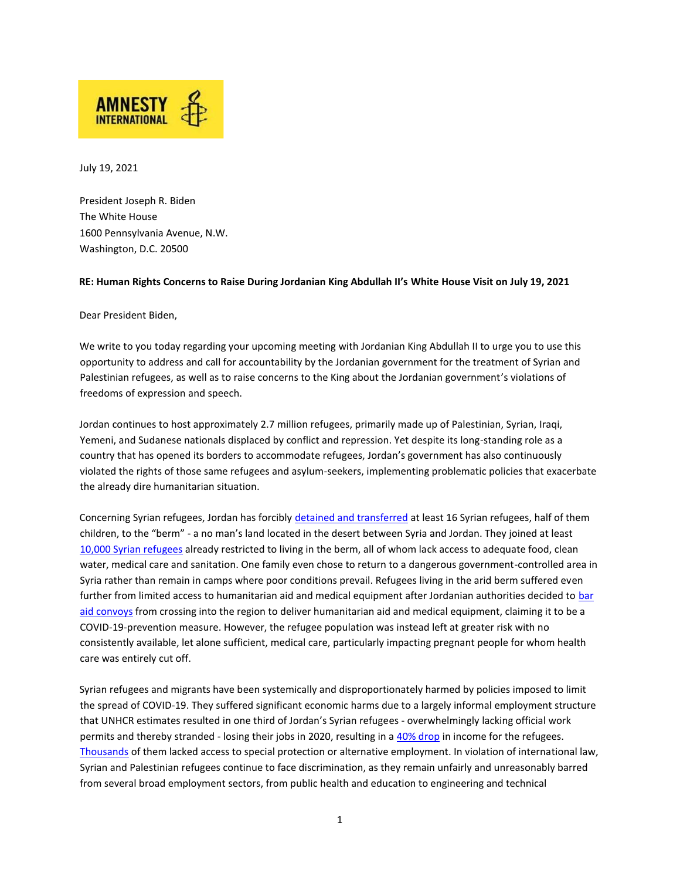

July 19, 2021

President Joseph R. Biden The White House 1600 Pennsylvania Avenue, N.W. Washington, D.C. 20500

## **RE: Human Rights Concerns to Raise During Jordanian King Abdullah II's White House Visit on July 19, 2021**

Dear President Biden,

We write to you today regarding your upcoming meeting with Jordanian King Abdullah II to urge you to use this opportunity to address and call for accountability by the Jordanian government for the treatment of Syrian and Palestinian refugees, as well as to raise concerns to the King about the Jordanian government's violations of freedoms of expression and speech.

Jordan continues to host approximately 2.7 million refugees, primarily made up of Palestinian, Syrian, Iraqi, Yemeni, and Sudanese nationals displaced by conflict and repression. Yet despite its long-standing role as a country that has opened its borders to accommodate refugees, Jordan's government has also continuously violated the rights of those same refugees and asylum-seekers, implementing problematic policies that exacerbate the already dire humanitarian situation.

Concerning Syrian refugees, Jordan has forcibly detained and transferred at least 16 Syrian refugees, half of them children, to the "berm" - a no man's land located in the desert between Syria and Jordan. They joined at least 10,000 Syrian refugees already restricted to living in the berm, all of whom lack access to adequate food, clean water, medical care and sanitation. One family even chose to return to a dangerous government-controlled area in Syria rather than remain in camps where poor conditions prevail. Refugees living in the arid berm suffered even further from limited access to humanitarian aid and medical equipment after Jordanian authorities decided to bar aid convoys from crossing into the region to deliver humanitarian aid and medical equipment, claiming it to be a COVID-19-prevention measure. However, the refugee population was instead left at greater risk with no consistently available, let alone sufficient, medical care, particularly impacting pregnant people for whom health care was entirely cut off.

Syrian refugees and migrants have been systemically and disproportionately harmed by policies imposed to limit the spread of COVID-19. They suffered significant economic harms due to a largely informal employment structure that UNHCR estimates resulted in one third of Jordan's Syrian refugees - overwhelmingly lacking official work permits and thereby stranded - losing their jobs in 2020, resulting in a 40% drop in income for the refugees. Thousands of them lacked access to special protection or alternative employment. In violation of international law, Syrian and Palestinian refugees continue to face discrimination, as they remain unfairly and unreasonably barred from several broad employment sectors, from public health and education to engineering and technical